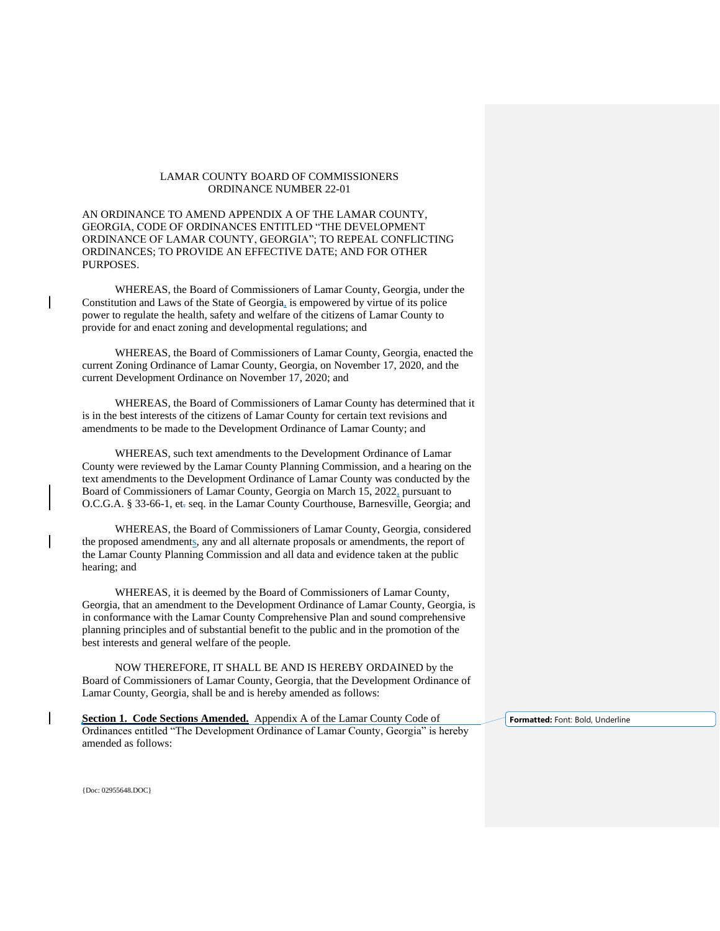## LAMAR COUNTY BOARD OF COMMISSIONERS ORDINANCE NUMBER 22-01

AN ORDINANCE TO AMEND APPENDIX A OF THE LAMAR COUNTY, GEORGIA, CODE OF ORDINANCES ENTITLED "THE DEVELOPMENT ORDINANCE OF LAMAR COUNTY, GEORGIA"; TO REPEAL CONFLICTING ORDINANCES; TO PROVIDE AN EFFECTIVE DATE; AND FOR OTHER PURPOSES.

WHEREAS, the Board of Commissioners of Lamar County, Georgia, under the Constitution and Laws of the State of Georgia, is empowered by virtue of its police power to regulate the health, safety and welfare of the citizens of Lamar County to provide for and enact zoning and developmental regulations; and

WHEREAS, the Board of Commissioners of Lamar County, Georgia, enacted the current Zoning Ordinance of Lamar County, Georgia, on November 17, 2020, and the current Development Ordinance on November 17, 2020; and

WHEREAS, the Board of Commissioners of Lamar County has determined that it is in the best interests of the citizens of Lamar County for certain text revisions and amendments to be made to the Development Ordinance of Lamar County; and

WHEREAS, such text amendments to the Development Ordinance of Lamar County were reviewed by the Lamar County Planning Commission, and a hearing on the text amendments to the Development Ordinance of Lamar County was conducted by the Board of Commissioners of Lamar County, Georgia on March 15, 2022, pursuant to O.C.G.A. § 33-66-1, et. seq. in the Lamar County Courthouse, Barnesville, Georgia; and

WHEREAS, the Board of Commissioners of Lamar County, Georgia, considered the proposed amendments, any and all alternate proposals or amendments, the report of the Lamar County Planning Commission and all data and evidence taken at the public hearing; and

WHEREAS, it is deemed by the Board of Commissioners of Lamar County, Georgia, that an amendment to the Development Ordinance of Lamar County, Georgia, is in conformance with the Lamar County Comprehensive Plan and sound comprehensive planning principles and of substantial benefit to the public and in the promotion of the best interests and general welfare of the people.

NOW THEREFORE, IT SHALL BE AND IS HEREBY ORDAINED by the Board of Commissioners of Lamar County, Georgia, that the Development Ordinance of Lamar County, Georgia, shall be and is hereby amended as follows:

Section 1. Code Sections Amended. Appendix A of the Lamar County Code of Ordinances entitled "The Development Ordinance of Lamar County, Georgia" is hereby amended as follows:

**Formatted:** Font: Bold, Underline

{Doc: 02955648.DOC}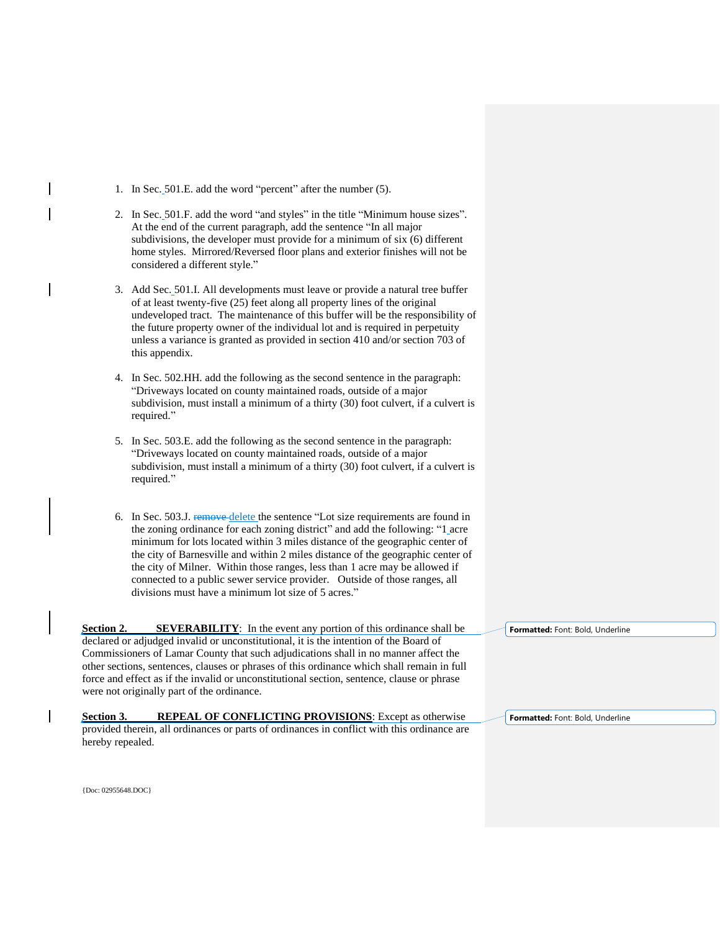- 1. In Sec. 501.E. add the word "percent" after the number (5).
- 2. In Sec. 501.F. add the word "and styles" in the title "Minimum house sizes". At the end of the current paragraph, add the sentence "In all major subdivisions, the developer must provide for a minimum of six (6) different home styles. Mirrored/Reversed floor plans and exterior finishes will not be considered a different style."
- 3. Add Sec. 501.I. All developments must leave or provide a natural tree buffer of at least twenty-five (25) feet along all property lines of the original undeveloped tract. The maintenance of this buffer will be the responsibility of the future property owner of the individual lot and is required in perpetuity unless a variance is granted as provided in section 410 and/or section 703 of this appendix.
- 4. In Sec. 502.HH. add the following as the second sentence in the paragraph: "Driveways located on county maintained roads, outside of a major subdivision, must install a minimum of a thirty (30) foot culvert, if a culvert is required."
- 5. In Sec. 503.E. add the following as the second sentence in the paragraph: "Driveways located on county maintained roads, outside of a major subdivision, must install a minimum of a thirty (30) foot culvert, if a culvert is required."
- 6. In Sec. 503.J. Femove delete the sentence "Lot size requirements are found in the zoning ordinance for each zoning district" and add the following: "1 acre minimum for lots located within 3 miles distance of the geographic center of the city of Barnesville and within 2 miles distance of the geographic center of the city of Milner. Within those ranges, less than 1 acre may be allowed if connected to a public sewer service provider. Outside of those ranges, all divisions must have a minimum lot size of 5 acres."

**Section 2.** SEVERABILITY: In the event any portion of this ordinance shall be declared or adjudged invalid or unconstitutional, it is the intention of the Board of Commissioners of Lamar County that such adjudications shall in no manner affect the other sections, sentences, clauses or phrases of this ordinance which shall remain in full force and effect as if the invalid or unconstitutional section, sentence, clause or phrase were not originally part of the ordinance.

**Section 3. REPEAL OF CONFLICTING PROVISIONS:** Except as otherwise provided therein, all ordinances or parts of ordinances in conflict with this ordinance are hereby repealed.

**Formatted:** Font: Bold, Underline

**Formatted:** Font: Bold, Underline

{Doc: 02955648.DOC}